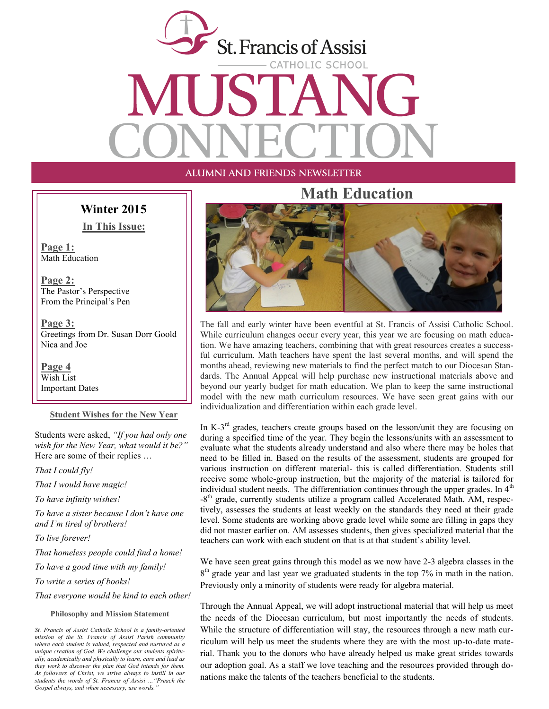

### ALUMNI AND FRIENDS NEWSLETTER

#### **Winter 2015**

**In This Issue:**

**Page 1:** Math Education

**Page 2:** The Pastor's Perspective From the Principal's Pen

**Page 3:** Greetings from Dr. Susan Dorr Goold Nica and Joe

**Page 4** Wish List Important Dates

#### **Student Wishes for the New Year**

Students were asked, *"If you had only one wish for the New Year, what would it be?"*  Here are some of their replies …

*That I could fly!* 

*That I would have magic!* 

*To have infinity wishes!* 

*To have a sister because I don't have one and I'm tired of brothers!*

*To live forever!* 

*That homeless people could find a home!*

*To have a good time with my family!*

*To write a series of books!*

*That everyone would be kind to each other!*

#### **Philosophy and Mission Statement**

# **Math Education**



The fall and early winter have been eventful at St. Francis of Assisi Catholic School. While curriculum changes occur every year, this year we are focusing on math education. We have amazing teachers, combining that with great resources creates a successful curriculum. Math teachers have spent the last several months, and will spend the months ahead, reviewing new materials to find the perfect match to our Diocesan Standards. The Annual Appeal will help purchase new instructional materials above and beyond our yearly budget for math education. We plan to keep the same instructional model with the new math curriculum resources. We have seen great gains with our individualization and differentiation within each grade level.

In K- $3<sup>rd</sup>$  grades, teachers create groups based on the lesson/unit they are focusing on during a specified time of the year. They begin the lessons/units with an assessment to evaluate what the students already understand and also where there may be holes that need to be filled in. Based on the results of the assessment, students are grouped for various instruction on different material- this is called differentiation. Students still receive some whole-group instruction, but the majority of the material is tailored for individual student needs. The differentiation continues through the upper grades. In  $4<sup>th</sup>$ -8<sup>th</sup> grade, currently students utilize a program called Accelerated Math. AM, respectively, assesses the students at least weekly on the standards they need at their grade level. Some students are working above grade level while some are filling in gaps they did not master earlier on. AM assesses students, then gives specialized material that the teachers can work with each student on that is at that student's ability level.

We have seen great gains through this model as we now have 2-3 algebra classes in the 8<sup>th</sup> grade year and last year we graduated students in the top 7% in math in the nation. Previously only a minority of students were ready for algebra material.

Through the Annual Appeal, we will adopt instructional material that will help us meet the needs of the Diocesan curriculum, but most importantly the needs of students. While the structure of differentiation will stay, the resources through a new math curriculum will help us meet the students where they are with the most up-to-date material. Thank you to the donors who have already helped us make great strides towards our adoption goal. As a staff we love teaching and the resources provided through donations make the talents of the teachers beneficial to the students.

*St. Francis of Assisi Catholic School is a family-oriented mission of the St. Francis of Assisi Parish community where each student is valued, respected and nurtured as a unique creation of God. We challenge our students spiritually, academically and physically to learn, care and lead as they work to discover the plan that God intends for them. As followers of Christ, we strive always to instill in our students the words of St. Francis of Assisi …"Preach the Gospel always, and when necessary, use words."*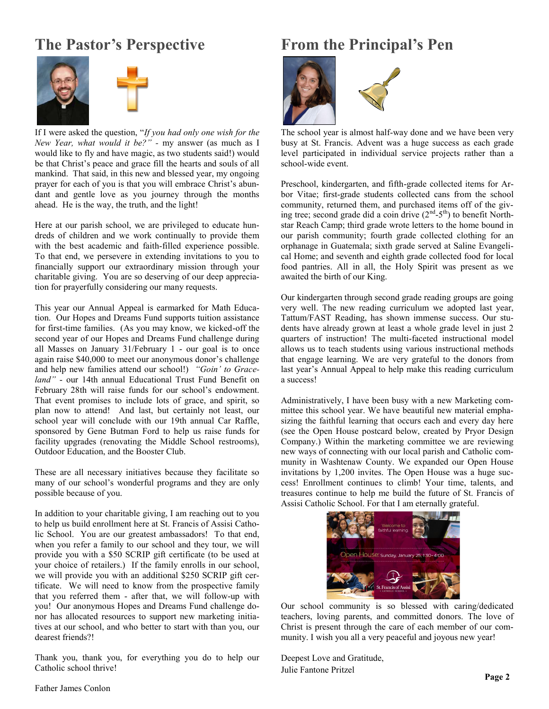# **The Pastor's Perspective**



If I were asked the question, "*If you had only one wish for the New Year, what would it be?" -* my answer (as much as I would like to fly and have magic, as two students said!) would be that Christ's peace and grace fill the hearts and souls of all mankind. That said, in this new and blessed year, my ongoing prayer for each of you is that you will embrace Christ's abundant and gentle love as you journey through the months ahead. He is the way, the truth, and the light!

Here at our parish school, we are privileged to educate hundreds of children and we work continually to provide them with the best academic and faith-filled experience possible. To that end, we persevere in extending invitations to you to financially support our extraordinary mission through your charitable giving. You are so deserving of our deep appreciation for prayerfully considering our many requests.

This year our Annual Appeal is earmarked for Math Education. Our Hopes and Dreams Fund supports tuition assistance for first-time families. (As you may know, we kicked-off the second year of our Hopes and Dreams Fund challenge during all Masses on January 31/February 1 - our goal is to once again raise \$40,000 to meet our anonymous donor's challenge and help new families attend our school!) *"Goin' to Graceland"* - our 14th annual Educational Trust Fund Benefit on February 28th will raise funds for our school's endowment. That event promises to include lots of grace, and spirit, so plan now to attend! And last, but certainly not least, our school year will conclude with our 19th annual Car Raffle, sponsored by Gene Butman Ford to help us raise funds for facility upgrades (renovating the Middle School restrooms), Outdoor Education, and the Booster Club.

These are all necessary initiatives because they facilitate so many of our school's wonderful programs and they are only possible because of you.

In addition to your charitable giving, I am reaching out to you to help us build enrollment here at St. Francis of Assisi Catholic School. You are our greatest ambassadors! To that end, when you refer a family to our school and they tour, we will provide you with a \$50 SCRIP gift certificate (to be used at your choice of retailers.) If the family enrolls in our school, we will provide you with an additional \$250 SCRIP gift certificate. We will need to know from the prospective family that you referred them - after that, we will follow-up with you! Our anonymous Hopes and Dreams Fund challenge donor has allocated resources to support new marketing initiatives at our school, and who better to start with than you, our dearest friends?!

Thank you, thank you, for everything you do to help our Catholic school thrive!

# **From the Principal's Pen**



The school year is almost half-way done and we have been very busy at St. Francis. Advent was a huge success as each grade level participated in individual service projects rather than a school-wide event.

Preschool, kindergarten, and fifth-grade collected items for Arbor Vitae; first-grade students collected cans from the school community, returned them, and purchased items off of the giving tree; second grade did a coin drive  $(2<sup>nd</sup>-5<sup>th</sup>)$  to benefit Northstar Reach Camp; third grade wrote letters to the home bound in our parish community; fourth grade collected clothing for an orphanage in Guatemala; sixth grade served at Saline Evangelical Home; and seventh and eighth grade collected food for local food pantries. All in all, the Holy Spirit was present as we awaited the birth of our King.

Our kindergarten through second grade reading groups are going very well. The new reading curriculum we adopted last year, Tattum/FAST Reading, has shown immense success. Our students have already grown at least a whole grade level in just 2 quarters of instruction! The multi-faceted instructional model allows us to teach students using various instructional methods that engage learning. We are very grateful to the donors from last year's Annual Appeal to help make this reading curriculum a success!

Administratively, I have been busy with a new Marketing committee this school year. We have beautiful new material emphasizing the faithful learning that occurs each and every day here (see the Open House postcard below, created by Pryor Design Company.) Within the marketing committee we are reviewing new ways of connecting with our local parish and Catholic community in Washtenaw County. We expanded our Open House invitations by 1,200 invites. The Open House was a huge success! Enrollment continues to climb! Your time, talents, and treasures continue to help me build the future of St. Francis of Assisi Catholic School. For that I am eternally grateful.



Our school community is so blessed with caring/dedicated teachers, loving parents, and committed donors. The love of Christ is present through the care of each member of our community. I wish you all a very peaceful and joyous new year!

Deepest Love and Gratitude, Julie Fantone Pritzel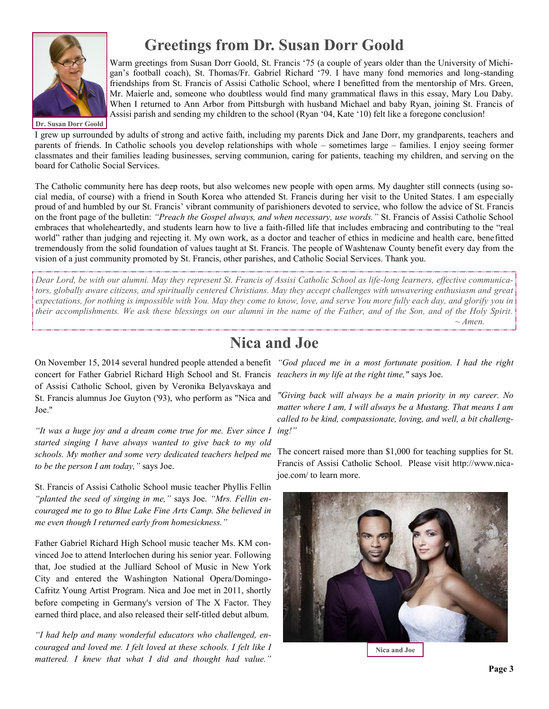

# **Greetings from Dr. Susan Dorr Goold**

Warm greetings from Susan Dorr Goold, St. Francis '75 (a couple of years older than the University of Michigan's football coach), St. Thomas/Fr. Gabriel Richard '79. I have many fond memories and long-standing friendships from St. Francis of Assisi Catholic School, where I benefitted from the mentorship of Mrs. Green, Mr. Maierle and, someone who doubtless would find many grammatical flaws in this essay, Mary Lou Daby. When I returned to Ann Arbor from Pittsburgh with husband Michael and baby Ryan, joining St. Francis of Assisi parish and sending my children to the school (Ryan '04, Kate '10) felt like a foregone conclusion!

**Dr. Susan Dorr Goold**

I grew up surrounded by adults of strong and active faith, including my parents Dick and Jane Dorr, my grandparents, teachers and parents of friends. In Catholic schools you develop relationships with whole – sometimes large – families. I enjoy seeing former classmates and their families leading businesses, serving communion, caring for patients, teaching my children, and serving on the board for Catholic Social Services.

The Catholic community here has deep roots, but also welcomes new people with open arms. My daughter still connects (using social media, of course) with a friend in South Korea who attended St. Francis during her visit to the United States. I am especially proud of and humbled by our St. Francis' vibrant community of parishioners devoted to service, who follow the advice of St. Francis on the front page of the bulletin: *"Preach the Gospel always, and when necessary, use words."* St. Francis of Assisi Catholic School embraces that wholeheartedly, and students learn how to live a faith-filled life that includes embracing and contributing to the "real world" rather than judging and rejecting it. My own work, as a doctor and teacher of ethics in medicine and health care, benefitted tremendously from the solid foundation of values taught at St. Francis. The people of Washtenaw County benefit every day from the vision of a just community promoted by St. Francis, other parishes, and Catholic Social Services. Thank you.

*Dear Lord, be with our alumni. May they represent St. Francis of Assisi Catholic School as life-long learners, effective communicators, globally aware citizens, and spiritually centered Christians. May they accept challenges with unwavering enthusiasm and great expectations, for nothing is impossible with You. May they come to know, love, and serve You more fully each day, and glorify you in their accomplishments. We ask these blessings on our alumni in the name of the Father, and of the Son, and of the Holy Spirit. ~ Amen.* 

# **Nica and Joe**

On November 15, 2014 several hundred people attended a benefit *"God placed me in a most fortunate position. I had the right*  concert for Father Gabriel Richard High School and St. Francis *teachers in my life at the right time,"* says Joe. of Assisi Catholic School, given by Veronika Belyavskaya and St. Francis alumnus Joe Guyton ('93), who perform as "Nica and Joe."

*"It was a huge joy and a dream come true for me. Ever since I started singing I have always wanted to give back to my old schools. My mother and some very dedicated teachers helped me to be the person I am today,"* says Joe.

St. Francis of Assisi Catholic School music teacher Phyllis Fellin *"planted the seed of singing in me,"* says Joe. *"Mrs. Fellin encouraged me to go to Blue Lake Fine Arts Camp. She believed in me even though I returned early from homesickness."*

Father Gabriel Richard High School music teacher Ms. KM convinced Joe to attend Interlochen during his senior year. Following that, Joe studied at the Julliard School of Music in New York City and entered the Washington National Opera/Domingo-Cafritz Young Artist Program. Nica and Joe met in 2011, shortly before competing in Germany's version of The X Factor. They earned third place, and also released their self-titled debut album.

*"I had help and many wonderful educators who challenged, encouraged and loved me. I felt loved at these schools. I felt like I mattered. I knew that what I did and thought had value."* 

*"Giving back will always be a main priority in my career. No matter where I am, I will always be a Mustang. That means I am called to be kind, compassionate, loving, and well, a bit challenging!"* 

The concert raised more than \$1,000 for teaching supplies for St. Francis of Assisi Catholic School. Please visit http://www.nicajoe.com/ to learn more.



**Nica and Joe**